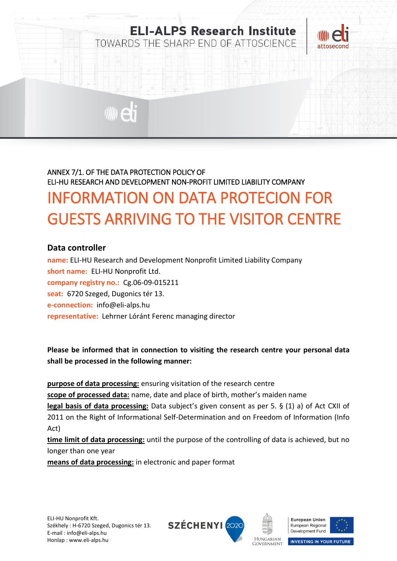

# ANNEX 7/1. OF THE DATA PROTECTION POLICY OF ELI-HU RESEARCH AND DEVELOPMENT NON-PROFIT LIMITED LIABILITY COMPANY INFORMATION ON DATA PROTECION FOR GUESTS ARRIVING TO THE VISITOR CENTRE

#### **Data controller**

**name:** ELI-HU Research and Development Nonprofit Limited Liability Company **short name:** ELI-HU Nonprofit Ltd. **company registry no.:** Cg.06-09-015211 **seat:** 6720 Szeged, Dugonics tér 13. **e-connection:** info@eli-alps.hu **representative:** Lehrner Lóránt Ferenc managing director

**Please be informed that in connection to visiting the research centre your personal data shall be processed in the following manner:**

**purpose of data processing:** ensuring visitation of the research centre **scope of processed data:** name, date and place of birth, mother's maiden name **legal basis of data processing:** Data subject's given consent as per 5. § (1) a) of Act CXII of 2011 on the Right of Informational Self-Determination and on Freedom of Information (Info Act)

**time limit of data processing:** until the purpose of the controlling of data is achieved, but no longer than one year

**means of data processing:** in electronic and paper format







**INVESTING IN YOUR FUTURE** 

**HUNGARIAN GOVERNMENT**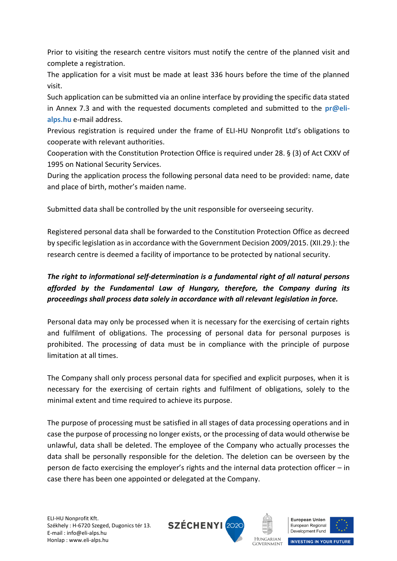Prior to visiting the research centre visitors must notify the centre of the planned visit and complete a registration.

The application for a visit must be made at least 336 hours before the time of the planned visit.

Such application can be submitted via an online interface by providing the specific data stated in Annex 7.3 and with the requested documents completed and submitted to the **pr@elialps.hu** e-mail address.

Previous registration is required under the frame of ELI-HU Nonprofit Ltd's obligations to cooperate with relevant authorities.

Cooperation with the Constitution Protection Office is required under 28. § (3) of Act CXXV of 1995 on National Security Services.

During the application process the following personal data need to be provided: name, date and place of birth, mother's maiden name.

Submitted data shall be controlled by the unit responsible for overseeing security.

Registered personal data shall be forwarded to the Constitution Protection Office as decreed by specific legislation as in accordance with the Government Decision 2009/2015. (XII.29.): the research centre is deemed a facility of importance to be protected by national security.

## *The right to informational self-determination is a fundamental right of all natural persons afforded by the Fundamental Law of Hungary, therefore, the Company during its proceedings shall process data solely in accordance with all relevant legislation in force.*

Personal data may only be processed when it is necessary for the exercising of certain rights and fulfilment of obligations. The processing of personal data for personal purposes is prohibited. The processing of data must be in compliance with the principle of purpose limitation at all times.

The Company shall only process personal data for specified and explicit purposes, when it is necessary for the exercising of certain rights and fulfilment of obligations, solely to the minimal extent and time required to achieve its purpose.

The purpose of processing must be satisfied in all stages of data processing operations and in case the purpose of processing no longer exists, or the processing of data would otherwise be unlawful, data shall be deleted. The employee of the Company who actually processes the data shall be personally responsible for the deletion. The deletion can be overseen by the person de facto exercising the employer's rights and the internal data protection officer – in case there has been one appointed or delegated at the Company.







**INVESTING IN YOUR FUTURE** 

**HUNGARIAN GOVERNMENT**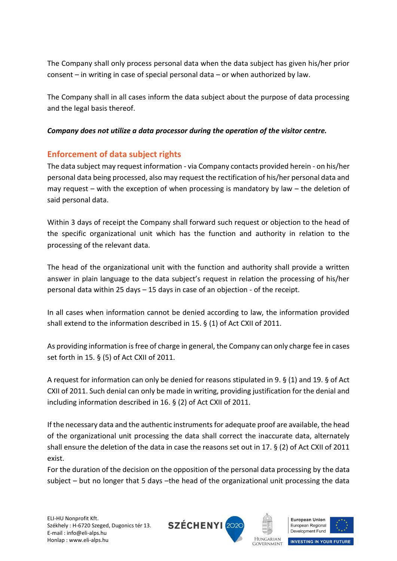The Company shall only process personal data when the data subject has given his/her prior consent – in writing in case of special personal data – or when authorized by law.

The Company shall in all cases inform the data subject about the purpose of data processing and the legal basis thereof.

### *Company does not utilize a data processor during the operation of the visitor centre.*

## **Enforcement of data subject rights**

The data subject may request information - via Company contacts provided herein - on his/her personal data being processed, also may request the rectification of his/her personal data and may request – with the exception of when processing is mandatory by law – the deletion of said personal data.

Within 3 days of receipt the Company shall forward such request or objection to the head of the specific organizational unit which has the function and authority in relation to the processing of the relevant data.

The head of the organizational unit with the function and authority shall provide a written answer in plain language to the data subject's request in relation the processing of his/her personal data within 25 days – 15 days in case of an objection - of the receipt.

In all cases when information cannot be denied according to law, the information provided shall extend to the information described in 15. § (1) of Act CXII of 2011.

As providing information is free of charge in general, the Company can only charge fee in cases set forth in 15. § (5) of Act CXII of 2011.

A request for information can only be denied for reasons stipulated in 9. § (1) and 19. § of Act CXII of 2011. Such denial can only be made in writing, providing justification for the denial and including information described in 16. § (2) of Act CXII of 2011.

If the necessary data and the authentic instruments for adequate proof are available, the head of the organizational unit processing the data shall correct the inaccurate data, alternately shall ensure the deletion of the data in case the reasons set out in 17. § (2) of Act CXII of 2011 exist.

For the duration of the decision on the opposition of the personal data processing by the data subject – but no longer that 5 days –the head of the organizational unit processing the data







HUNGARIAN **INVESTING IN YOUR FUTURE GOVERNMENT**